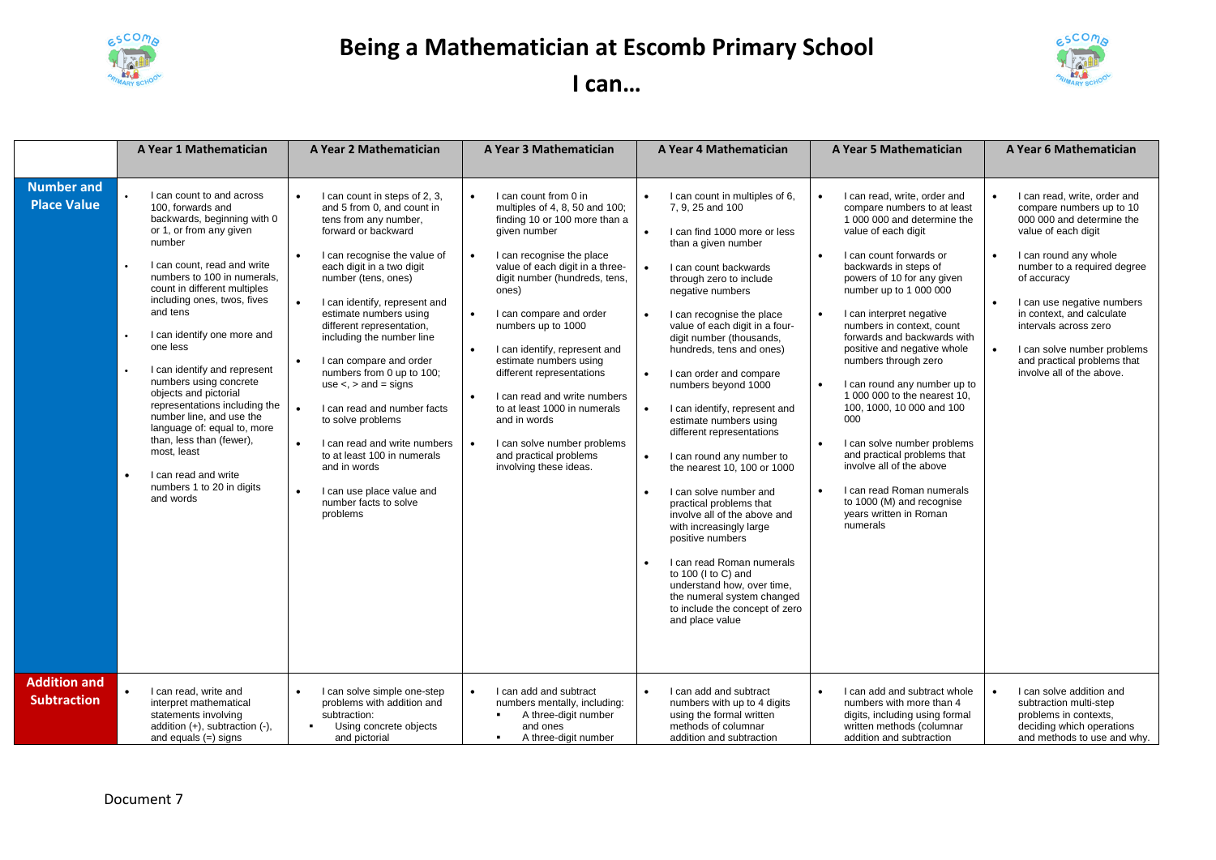

## **Being a Mathematician at Escomb Primary School**



## **I can…**

|                                           | A Year 1 Mathematician                                                                                                                                                                                                                                                                                                                                                                                                                                                                                                                                                                                          | A Year 2 Mathematician                                                                                                                                                                                                                                                                                                                                                                                                                                                                                                                                                                                                                                                                                        | A Year 3 Mathematician                                                                                                                                                                                                                                                                                                                                                                                                                                                                                                                      | A Year 4 Mathematician                                                                                                                                                                                                                                                                                                                                                                                                                                                                                                                                                                                                                                                                                                                                                                                                             | <b>A Year 5 Mathematician</b>                                                                                                                                                                                                                                                                                                                                                                                                                                                                                                                                                                                                                                                                        | A Year 6 Mathematician                                                                                                                                                                                                                                                                                                                                             |
|-------------------------------------------|-----------------------------------------------------------------------------------------------------------------------------------------------------------------------------------------------------------------------------------------------------------------------------------------------------------------------------------------------------------------------------------------------------------------------------------------------------------------------------------------------------------------------------------------------------------------------------------------------------------------|---------------------------------------------------------------------------------------------------------------------------------------------------------------------------------------------------------------------------------------------------------------------------------------------------------------------------------------------------------------------------------------------------------------------------------------------------------------------------------------------------------------------------------------------------------------------------------------------------------------------------------------------------------------------------------------------------------------|---------------------------------------------------------------------------------------------------------------------------------------------------------------------------------------------------------------------------------------------------------------------------------------------------------------------------------------------------------------------------------------------------------------------------------------------------------------------------------------------------------------------------------------------|------------------------------------------------------------------------------------------------------------------------------------------------------------------------------------------------------------------------------------------------------------------------------------------------------------------------------------------------------------------------------------------------------------------------------------------------------------------------------------------------------------------------------------------------------------------------------------------------------------------------------------------------------------------------------------------------------------------------------------------------------------------------------------------------------------------------------------|------------------------------------------------------------------------------------------------------------------------------------------------------------------------------------------------------------------------------------------------------------------------------------------------------------------------------------------------------------------------------------------------------------------------------------------------------------------------------------------------------------------------------------------------------------------------------------------------------------------------------------------------------------------------------------------------------|--------------------------------------------------------------------------------------------------------------------------------------------------------------------------------------------------------------------------------------------------------------------------------------------------------------------------------------------------------------------|
| <b>Number and</b><br><b>Place Value</b>   | I can count to and across<br>100, forwards and<br>backwards, beginning with 0<br>or 1, or from any given<br>number<br>I can count, read and write<br>numbers to 100 in numerals,<br>count in different multiples<br>including ones, twos, fives<br>and tens<br>I can identify one more and<br>one less<br>I can identify and represent<br>numbers using concrete<br>objects and pictorial<br>representations including the<br>number line, and use the<br>language of: equal to, more<br>than, less than (fewer),<br>most, least<br>I can read and write<br>$\bullet$<br>numbers 1 to 20 in digits<br>and words | I can count in steps of 2, 3,<br>$\bullet$<br>and 5 from 0, and count in<br>tens from any number,<br>forward or backward<br>I can recognise the value of<br>$\bullet$<br>each digit in a two digit<br>number (tens, ones)<br>I can identify, represent and<br>$\bullet$<br>estimate numbers using<br>different representation,<br>including the number line<br>I can compare and order<br>$\bullet$<br>numbers from 0 up to 100;<br>use $\lt$ , $>$ and $=$ signs<br>I can read and number facts<br>$\bullet$<br>to solve problems<br>$\bullet$<br>I can read and write numbers<br>to at least 100 in numerals<br>and in words<br>I can use place value and<br>$\bullet$<br>number facts to solve<br>problems | I can count from 0 in<br>multiples of 4, 8, 50 and 100;<br>finding 10 or 100 more than a<br>given number<br>I can recognise the place<br>value of each digit in a three-<br>digit number (hundreds, tens,<br>ones)<br>I can compare and order<br>$\bullet$<br>numbers up to 1000<br>I can identify, represent and<br>estimate numbers using<br>different representations<br>I can read and write numbers<br>to at least 1000 in numerals<br>and in words<br>I can solve number problems<br>and practical problems<br>involving these ideas. | I can count in multiples of 6,<br>7.9.25 and 100<br>I can find 1000 more or less<br>than a given number<br>I can count backwards<br>through zero to include<br>negative numbers<br>I can recognise the place<br>value of each digit in a four-<br>digit number (thousands,<br>hundreds, tens and ones)<br>I can order and compare<br>numbers beyond 1000<br>I can identify, represent and<br>estimate numbers using<br>different representations<br>I can round any number to<br>$\bullet$<br>the nearest 10, 100 or 1000<br>I can solve number and<br>practical problems that<br>involve all of the above and<br>with increasingly large<br>positive numbers<br>I can read Roman numerals<br>to 100 (I to C) and<br>understand how, over time,<br>the numeral system changed<br>to include the concept of zero<br>and place value | I can read, write, order and<br>compare numbers to at least<br>1 000 000 and determine the<br>value of each digit<br>I can count forwards or<br>backwards in steps of<br>powers of 10 for any given<br>number up to 1 000 000<br>I can interpret negative<br>$\bullet$<br>numbers in context, count<br>forwards and backwards with<br>positive and negative whole<br>numbers through zero<br>I can round any number up to<br>1 000 000 to the nearest 10,<br>100, 1000, 10 000 and 100<br>000<br>I can solve number problems<br>and practical problems that<br>involve all of the above<br>I can read Roman numerals<br>$\bullet$<br>to 1000 (M) and recognise<br>years written in Roman<br>numerals | I can read, write, order and<br>compare numbers up to 10<br>000 000 and determine the<br>value of each digit<br>I can round any whole<br>number to a required degree<br>of accuracy<br>I can use negative numbers<br>in context, and calculate<br>intervals across zero<br>I can solve number problems<br>and practical problems that<br>involve all of the above. |
| <b>Addition and</b><br><b>Subtraction</b> | I can read, write and<br>$\bullet$<br>interpret mathematical<br>statements involving<br>addition (+), subtraction (-),<br>and equals $(=)$ signs                                                                                                                                                                                                                                                                                                                                                                                                                                                                | I can solve simple one-step<br>problems with addition and<br>subtraction:<br>Using concrete objects<br>and pictorial                                                                                                                                                                                                                                                                                                                                                                                                                                                                                                                                                                                          | I can add and subtract<br>numbers mentally, including:<br>A three-digit number<br>and ones<br>A three-digit number<br>$\blacksquare$                                                                                                                                                                                                                                                                                                                                                                                                        | I can add and subtract<br>$\bullet$<br>numbers with up to 4 digits<br>using the formal written<br>methods of columnar<br>addition and subtraction                                                                                                                                                                                                                                                                                                                                                                                                                                                                                                                                                                                                                                                                                  | I can add and subtract whole<br>$\bullet$<br>numbers with more than 4<br>digits, including using formal<br>written methods (columnar<br>addition and subtraction                                                                                                                                                                                                                                                                                                                                                                                                                                                                                                                                     | I can solve addition and<br>subtraction multi-step<br>problems in contexts,<br>deciding which operations<br>and methods to use and why.                                                                                                                                                                                                                            |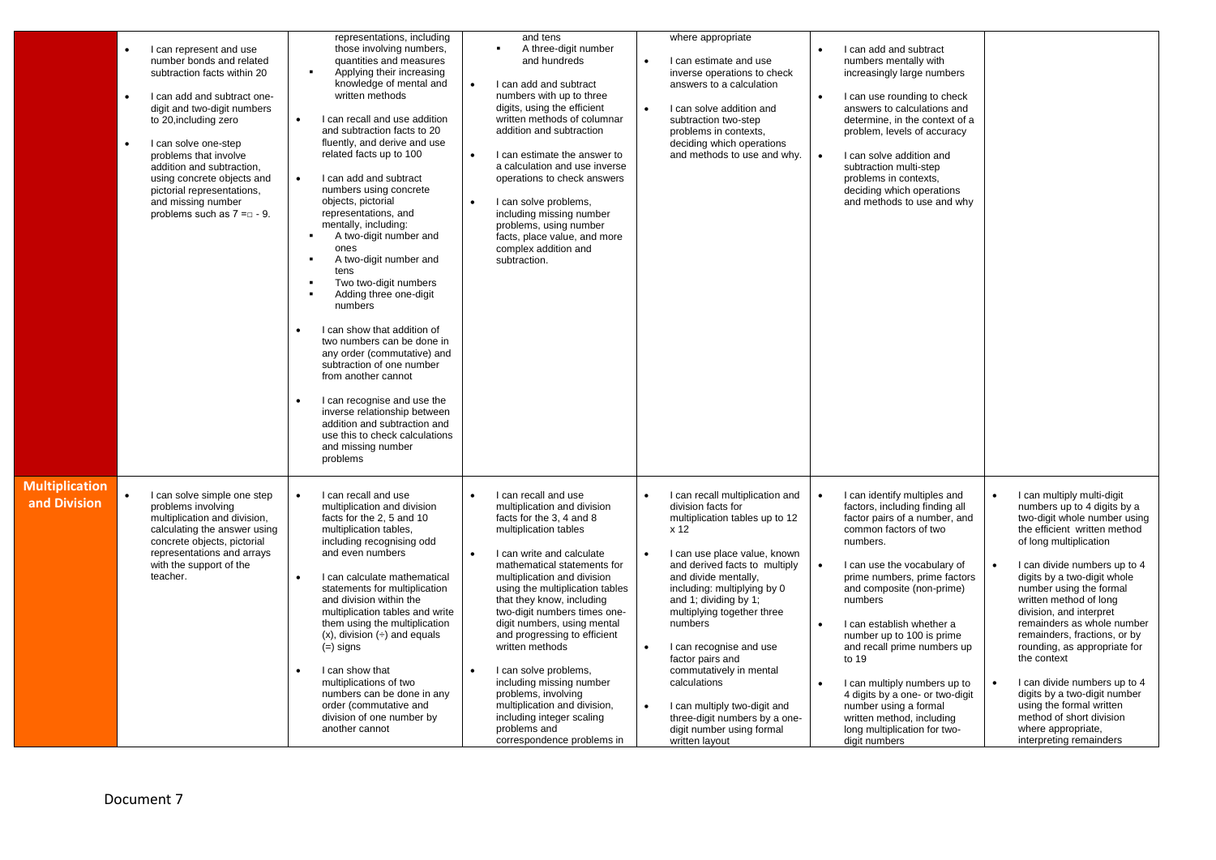|                                       | I can represent and use<br>number bonds and related<br>subtraction facts within 20<br>I can add and subtract one-<br>$\bullet$<br>digit and two-digit numbers<br>to 20, including zero<br>I can solve one-step<br>$\bullet$<br>problems that involve<br>addition and subtraction,<br>using concrete objects and<br>pictorial representations,<br>and missing number<br>problems such as $7 = 9$ . | representations, including<br>those involving numbers,<br>quantities and measures<br>$\bullet$<br>Applying their increasing<br>knowledge of mental and<br>written methods<br>I can recall and use addition<br>$\bullet$<br>and subtraction facts to 20<br>fluently, and derive and use<br>related facts up to 100<br>I can add and subtract<br>$\bullet$<br>numbers using concrete<br>objects, pictorial<br>representations, and<br>mentally, including:<br>A two-digit number and<br>٠<br>ones<br>A two-digit number and<br>٠<br>tens<br>Two two-digit numbers<br>×<br>Adding three one-digit<br>numbers<br>I can show that addition of<br>$\bullet$<br>two numbers can be done in<br>any order (commutative) and<br>subtraction of one number<br>from another cannot<br>I can recognise and use the<br>$\bullet$<br>inverse relationship between<br>addition and subtraction and<br>use this to check calculations<br>and missing number<br>problems | and tens<br>A three-digit number<br>٠<br>and hundreds<br>I can add and subtract<br>$\bullet$<br>numbers with up to three<br>digits, using the efficient<br>written methods of columnar<br>addition and subtraction<br>I can estimate the answer to<br>$\bullet$<br>a calculation and use inverse<br>operations to check answers<br>I can solve problems,<br>including missing number<br>problems, using number<br>facts, place value, and more<br>complex addition and<br>subtraction.                                                                                       | $\bullet$              | where appropriate<br>I can estimate and use<br>inverse operations to check<br>answers to a calculation<br>I can solve addition and<br>subtraction two-step<br>problems in contexts,<br>deciding which operations<br>and methods to use and why.                                                                                                                                                                                                                                                     | $\bullet$<br>$\bullet$                           | I can add and subtract<br>numbers mentally with<br>increasingly large numbers<br>I can use rounding to check<br>answers to calculations and<br>determine, in the context of a<br>problem, levels of accuracy<br>I can solve addition and<br>subtraction multi-step<br>problems in contexts,<br>deciding which operations<br>and methods to use and why                                                                                                                                                                  |                                     |                                                                                                                                                                                                                                                                                                                                                                                                                                                                                                                                                                                          |
|---------------------------------------|---------------------------------------------------------------------------------------------------------------------------------------------------------------------------------------------------------------------------------------------------------------------------------------------------------------------------------------------------------------------------------------------------|--------------------------------------------------------------------------------------------------------------------------------------------------------------------------------------------------------------------------------------------------------------------------------------------------------------------------------------------------------------------------------------------------------------------------------------------------------------------------------------------------------------------------------------------------------------------------------------------------------------------------------------------------------------------------------------------------------------------------------------------------------------------------------------------------------------------------------------------------------------------------------------------------------------------------------------------------------|------------------------------------------------------------------------------------------------------------------------------------------------------------------------------------------------------------------------------------------------------------------------------------------------------------------------------------------------------------------------------------------------------------------------------------------------------------------------------------------------------------------------------------------------------------------------------|------------------------|-----------------------------------------------------------------------------------------------------------------------------------------------------------------------------------------------------------------------------------------------------------------------------------------------------------------------------------------------------------------------------------------------------------------------------------------------------------------------------------------------------|--------------------------------------------------|-------------------------------------------------------------------------------------------------------------------------------------------------------------------------------------------------------------------------------------------------------------------------------------------------------------------------------------------------------------------------------------------------------------------------------------------------------------------------------------------------------------------------|-------------------------------------|------------------------------------------------------------------------------------------------------------------------------------------------------------------------------------------------------------------------------------------------------------------------------------------------------------------------------------------------------------------------------------------------------------------------------------------------------------------------------------------------------------------------------------------------------------------------------------------|
| <b>Multiplication</b><br>and Division | I can solve simple one step<br>$\bullet$<br>problems involving<br>multiplication and division,<br>calculating the answer using<br>concrete objects, pictorial<br>representations and arrays<br>with the support of the<br>teacher.                                                                                                                                                                | I can recall and use<br>$\bullet$<br>multiplication and division<br>facts for the 2, 5 and 10<br>multiplication tables,<br>including recognising odd<br>and even numbers<br>I can calculate mathematical<br>$\bullet$<br>statements for multiplication<br>and division within the<br>multiplication tables and write<br>them using the multiplication<br>$(x)$ , division $\left(\div\right)$ and equals<br>$(=)$ signs<br>I can show that<br>$\bullet$<br>multiplications of two<br>numbers can be done in any<br>order (commutative and<br>division of one number by<br>another cannot                                                                                                                                                                                                                                                                                                                                                               | I can recall and use<br>multiplication and division<br>facts for the 3, 4 and 8<br>multiplication tables<br>I can write and calculate<br>mathematical statements for<br>multiplication and division<br>using the multiplication tables<br>that they know, including<br>two-digit numbers times one-<br>digit numbers, using mental<br>and progressing to efficient<br>written methods<br>I can solve problems,<br>including missing number<br>problems, involving<br>multiplication and division,<br>including integer scaling<br>problems and<br>correspondence problems in | $\bullet$<br>$\bullet$ | I can recall multiplication and<br>division facts for<br>multiplication tables up to 12<br>x 12<br>I can use place value, known<br>and derived facts to multiply<br>and divide mentally,<br>including: multiplying by 0<br>and 1; dividing by 1;<br>multiplying together three<br>numbers<br>I can recognise and use<br>factor pairs and<br>commutatively in mental<br>calculations<br>I can multiply two-digit and<br>three-digit numbers by a one-<br>digit number using formal<br>written layout | $\bullet$<br>$\bullet$<br>$\bullet$<br>$\bullet$ | I can identify multiples and<br>factors, including finding all<br>factor pairs of a number, and<br>common factors of two<br>numbers.<br>I can use the vocabulary of<br>prime numbers, prime factors<br>and composite (non-prime)<br>numbers<br>I can establish whether a<br>number up to 100 is prime<br>and recall prime numbers up<br>to 19<br>I can multiply numbers up to<br>4 digits by a one- or two-digit<br>number using a formal<br>written method, including<br>long multiplication for two-<br>digit numbers | $\bullet$<br>$\bullet$<br>$\bullet$ | I can multiply multi-digit<br>numbers up to 4 digits by a<br>two-digit whole number using<br>the efficient written method<br>of long multiplication<br>I can divide numbers up to 4<br>digits by a two-digit whole<br>number using the formal<br>written method of long<br>division, and interpret<br>remainders as whole number<br>remainders, fractions, or by<br>rounding, as appropriate for<br>the context<br>I can divide numbers up to 4<br>digits by a two-digit number<br>using the formal written<br>method of short division<br>where appropriate,<br>interpreting remainders |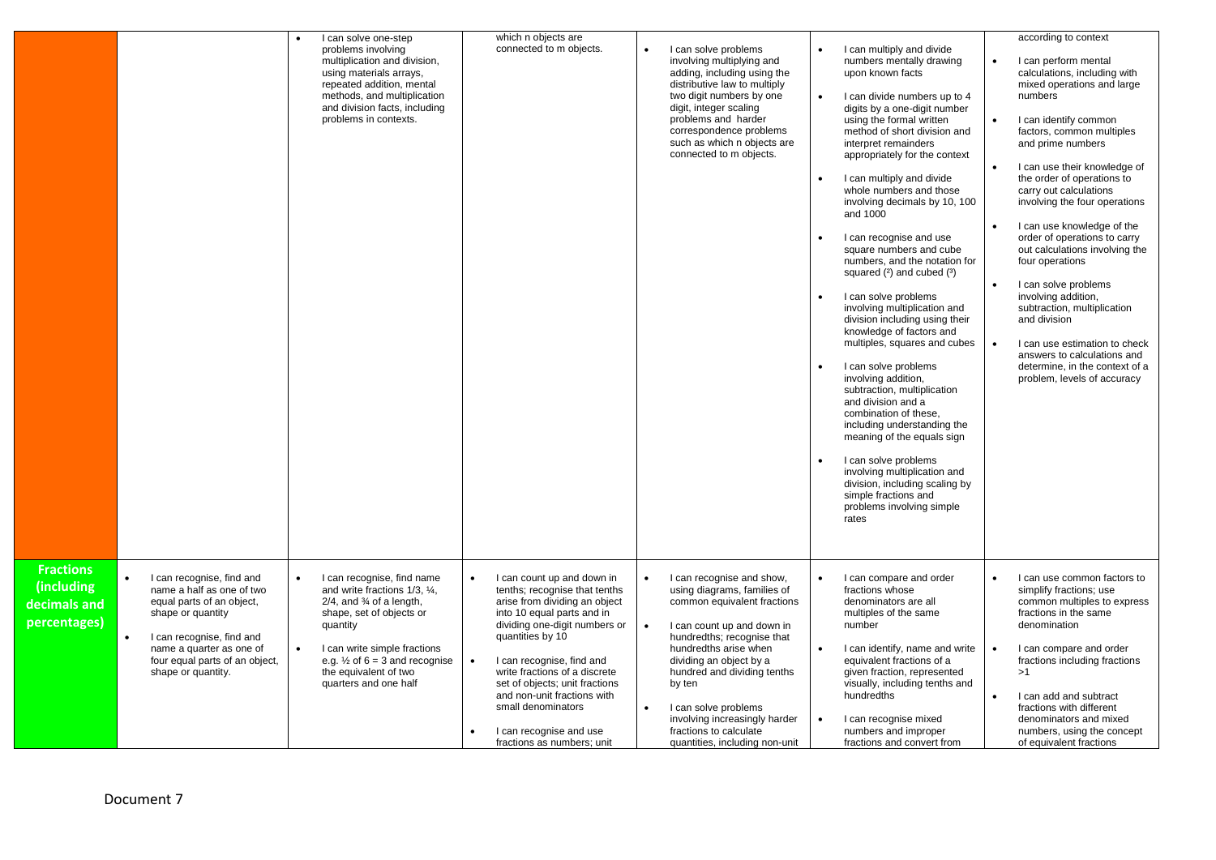|                                                                |                                                                                                                                                                                                                           | I can solve one-step<br>problems involving<br>multiplication and division,<br>using materials arrays,<br>repeated addition, mental<br>methods, and multiplication<br>and division facts, including<br>problems in contexts.                                                                            | which n objects are<br>connected to m objects.                                                                                                                                                                                                                                                                                                                                                | I can solve problems<br>involving multiplying and<br>adding, including using the<br>distributive law to multiply<br>two digit numbers by one<br>digit, integer scaling<br>problems and harder<br>correspondence problems<br>such as which n objects are<br>connected to m objects.                                                                                    | I can multiply and divide<br>numbers mentally drawing<br>upon known facts<br>I can divide numbers up to 4<br>$\bullet$<br>digits by a one-digit number<br>using the formal written<br>method of short division and<br>interpret remainders<br>appropriately for the context<br>I can multiply and divide<br>whole numbers and those<br>involving decimals by 10, 100<br>and 1000<br>I can recognise and use<br>square numbers and cube<br>numbers, and the notation for<br>squared $(2)$ and cubed $(3)$<br>I can solve problems<br>involving multiplication and<br>division including using their<br>knowledge of factors and<br>multiples, squares and cubes<br>I can solve problems<br>involving addition,<br>subtraction, multiplication<br>and division and a<br>combination of these,<br>including understanding the<br>meaning of the equals sign<br>I can solve problems<br>involving multiplication and<br>division, including scaling by<br>simple fractions and<br>problems involving simple<br>rates | according to context<br>I can perform mental<br>calculations, including with<br>mixed operations and large<br>numbers<br>I can identify common<br>$\bullet$<br>factors, common multiples<br>and prime numbers<br>I can use their knowledge of<br>the order of operations to<br>carry out calculations<br>involving the four operations<br>I can use knowledge of the<br>order of operations to carry<br>out calculations involving the<br>four operations<br>I can solve problems<br>involving addition,<br>subtraction, multiplication<br>and division<br>I can use estimation to check<br>$\bullet$<br>answers to calculations and<br>determine, in the context of a<br>problem, levels of accuracy |
|----------------------------------------------------------------|---------------------------------------------------------------------------------------------------------------------------------------------------------------------------------------------------------------------------|--------------------------------------------------------------------------------------------------------------------------------------------------------------------------------------------------------------------------------------------------------------------------------------------------------|-----------------------------------------------------------------------------------------------------------------------------------------------------------------------------------------------------------------------------------------------------------------------------------------------------------------------------------------------------------------------------------------------|-----------------------------------------------------------------------------------------------------------------------------------------------------------------------------------------------------------------------------------------------------------------------------------------------------------------------------------------------------------------------|------------------------------------------------------------------------------------------------------------------------------------------------------------------------------------------------------------------------------------------------------------------------------------------------------------------------------------------------------------------------------------------------------------------------------------------------------------------------------------------------------------------------------------------------------------------------------------------------------------------------------------------------------------------------------------------------------------------------------------------------------------------------------------------------------------------------------------------------------------------------------------------------------------------------------------------------------------------------------------------------------------------|-------------------------------------------------------------------------------------------------------------------------------------------------------------------------------------------------------------------------------------------------------------------------------------------------------------------------------------------------------------------------------------------------------------------------------------------------------------------------------------------------------------------------------------------------------------------------------------------------------------------------------------------------------------------------------------------------------|
| <b>Fractions</b><br>(including<br>decimals and<br>percentages) | I can recognise, find and<br>name a half as one of two<br>equal parts of an object,<br>shape or quantity<br>I can recognise, find and<br>name a quarter as one of<br>four equal parts of an object,<br>shape or quantity. | I can recognise, find name<br>$\bullet$<br>and write fractions 1/3, 1/4,<br>$2/4$ , and $\frac{3}{4}$ of a length,<br>shape, set of objects or<br>quantity<br>I can write simple fractions<br>$\bullet$<br>e.g. $\frac{1}{2}$ of 6 = 3 and recognise<br>the equivalent of two<br>quarters and one half | I can count up and down in<br>tenths; recognise that tenths<br>arise from dividing an object<br>into 10 equal parts and in<br>dividing one-digit numbers or<br>quantities by 10<br>I can recognise, find and<br>write fractions of a discrete<br>set of objects; unit fractions<br>and non-unit fractions with<br>small denominators<br>I can recognise and use<br>fractions as numbers; unit | I can recognise and show,<br>using diagrams, families of<br>common equivalent fractions<br>I can count up and down in<br>hundredths; recognise that<br>hundredths arise when<br>dividing an object by a<br>hundred and dividing tenths<br>by ten<br>I can solve problems<br>involving increasingly harder<br>fractions to calculate<br>quantities, including non-unit | I can compare and order<br>fractions whose<br>denominators are all<br>multiples of the same<br>number<br>I can identify, name and write<br>$\bullet$<br>equivalent fractions of a<br>given fraction, represented<br>visually, including tenths and<br>hundredths<br>I can recognise mixed<br>numbers and improper<br>fractions and convert from                                                                                                                                                                                                                                                                                                                                                                                                                                                                                                                                                                                                                                                                  | I can use common factors to<br>simplify fractions; use<br>common multiples to express<br>fractions in the same<br>denomination<br>I can compare and order<br>$\bullet$<br>fractions including fractions<br>>1<br>I can add and subtract<br>fractions with different<br>denominators and mixed<br>numbers, using the concept<br>of equivalent fractions                                                                                                                                                                                                                                                                                                                                                |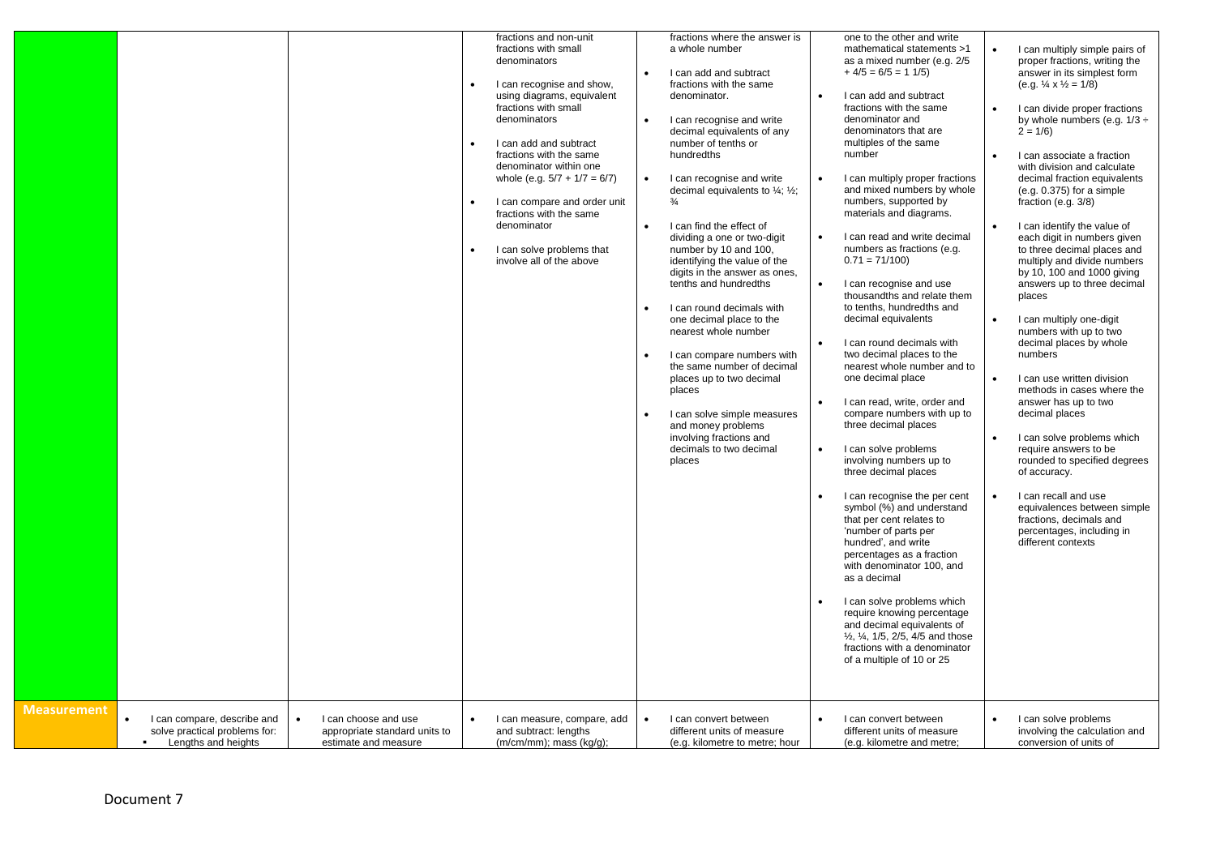|                    |                                                                                     |                                                                                            | denominators<br>denominators<br>$\bullet$<br>denominator | fractions and non-unit<br>fractions with small<br>I can recognise and show,<br>using diagrams, equivalent<br>fractions with small<br>I can add and subtract<br>fractions with the same<br>denominator within one<br>whole (e.g. $5/7 + 1/7 = 6/7$ )<br>I can compare and order unit<br>fractions with the same<br>I can solve problems that<br>involve all of the above | $\bullet$<br>$\bullet$ | fractions where the answer is<br>a whole number<br>I can add and subtract<br>fractions with the same<br>denominator.<br>I can recognise and write<br>decimal equivalents of any<br>number of tenths or<br>hundredths<br>I can recognise and write<br>decimal equivalents to $\frac{1}{4}$ ; $\frac{1}{2}$ ;<br>$\frac{3}{4}$<br>I can find the effect of<br>dividing a one or two-digit<br>number by 10 and 100,<br>identifying the value of the<br>digits in the answer as ones,<br>tenths and hundredths<br>I can round decimals with<br>one decimal place to the<br>nearest whole number<br>I can compare numbers with<br>the same number of decimal<br>places up to two decimal<br>places<br>I can solve simple measures<br>and money problems<br>involving fractions and<br>decimals to two decimal<br>places | $\bullet$<br>$\bullet$<br>$\bullet$<br>$\bullet$<br>$\bullet$<br>$\bullet$<br>$\bullet$<br>$\bullet$ | one to the other and write<br>mathematical statements >1<br>as a mixed number (e.g. 2/5<br>$+4/5 = 6/5 = 11/5$<br>I can add and subtract<br>fractions with the same<br>denominator and<br>denominators that are<br>multiples of the same<br>number<br>I can multiply proper fractions<br>and mixed numbers by whole<br>numbers, supported by<br>materials and diagrams.<br>I can read and write decimal<br>numbers as fractions (e.g.<br>$0.71 = 71/100$<br>I can recognise and use<br>thousandths and relate them<br>to tenths, hundredths and<br>decimal equivalents<br>I can round decimals with<br>two decimal places to the<br>nearest whole number and to<br>one decimal place<br>I can read, write, order and<br>compare numbers with up to<br>three decimal places<br>I can solve problems<br>involving numbers up to<br>three decimal places<br>I can recognise the per cent<br>symbol (%) and understand<br>that per cent relates to<br>'number of parts per<br>hundred', and write<br>percentages as a fraction<br>with denominator 100, and<br>as a decimal<br>I can solve problems which<br>require knowing percentage<br>and decimal equivalents of<br>1/ <sub>2</sub> , 1/ <sub>4</sub> , 1/5, 2/5, 4/5 and those<br>fractions with a denominator<br>of a multiple of 10 or 25 | $\bullet$<br>$\bullet$ | I can multiply simple pairs of<br>proper fractions, writing the<br>answer in its simplest form<br>(e.g. $\frac{1}{4} \times \frac{1}{2} = 1/8$ )<br>I can divide proper fractions<br>by whole numbers (e.g. $1/3 \div$<br>$2 = 1/6$<br>I can associate a fraction<br>with division and calculate<br>decimal fraction equivalents<br>$(e.g. 0.375)$ for a simple<br>fraction (e.g. $3/8$ )<br>I can identify the value of<br>each digit in numbers given<br>to three decimal places and<br>multiply and divide numbers<br>by 10, 100 and 1000 giving<br>answers up to three decimal<br>places<br>I can multiply one-digit<br>numbers with up to two<br>decimal places by whole<br>numbers<br>I can use written division<br>methods in cases where the<br>answer has up to two<br>decimal places<br>I can solve problems which<br>require answers to be<br>rounded to specified degrees<br>of accuracy.<br>I can recall and use<br>equivalences between simple<br>fractions, decimals and<br>percentages, including in<br>different contexts |
|--------------------|-------------------------------------------------------------------------------------|--------------------------------------------------------------------------------------------|----------------------------------------------------------|-------------------------------------------------------------------------------------------------------------------------------------------------------------------------------------------------------------------------------------------------------------------------------------------------------------------------------------------------------------------------|------------------------|--------------------------------------------------------------------------------------------------------------------------------------------------------------------------------------------------------------------------------------------------------------------------------------------------------------------------------------------------------------------------------------------------------------------------------------------------------------------------------------------------------------------------------------------------------------------------------------------------------------------------------------------------------------------------------------------------------------------------------------------------------------------------------------------------------------------|------------------------------------------------------------------------------------------------------|-----------------------------------------------------------------------------------------------------------------------------------------------------------------------------------------------------------------------------------------------------------------------------------------------------------------------------------------------------------------------------------------------------------------------------------------------------------------------------------------------------------------------------------------------------------------------------------------------------------------------------------------------------------------------------------------------------------------------------------------------------------------------------------------------------------------------------------------------------------------------------------------------------------------------------------------------------------------------------------------------------------------------------------------------------------------------------------------------------------------------------------------------------------------------------------------------------------------------------------------------------------------------------------------------|------------------------|--------------------------------------------------------------------------------------------------------------------------------------------------------------------------------------------------------------------------------------------------------------------------------------------------------------------------------------------------------------------------------------------------------------------------------------------------------------------------------------------------------------------------------------------------------------------------------------------------------------------------------------------------------------------------------------------------------------------------------------------------------------------------------------------------------------------------------------------------------------------------------------------------------------------------------------------------------------------------------------------------------------------------------------------|
| <b>Measurement</b> | I can compare, describe and<br>solve practical problems for:<br>Lengths and heights | I can choose and use<br>$\bullet$<br>appropriate standard units to<br>estimate and measure |                                                          | I can measure, compare, add<br>and subtract: lengths<br>$(m/cm/mm)$ ; mass $(kg/g)$ ;                                                                                                                                                                                                                                                                                   |                        | I can convert between<br>different units of measure<br>(e.g. kilometre to metre; hour                                                                                                                                                                                                                                                                                                                                                                                                                                                                                                                                                                                                                                                                                                                              | $\bullet$                                                                                            | I can convert between<br>different units of measure<br>(e.g. kilometre and metre;                                                                                                                                                                                                                                                                                                                                                                                                                                                                                                                                                                                                                                                                                                                                                                                                                                                                                                                                                                                                                                                                                                                                                                                                             |                        | I can solve problems<br>involving the calculation and<br>conversion of units of                                                                                                                                                                                                                                                                                                                                                                                                                                                                                                                                                                                                                                                                                                                                                                                                                                                                                                                                                            |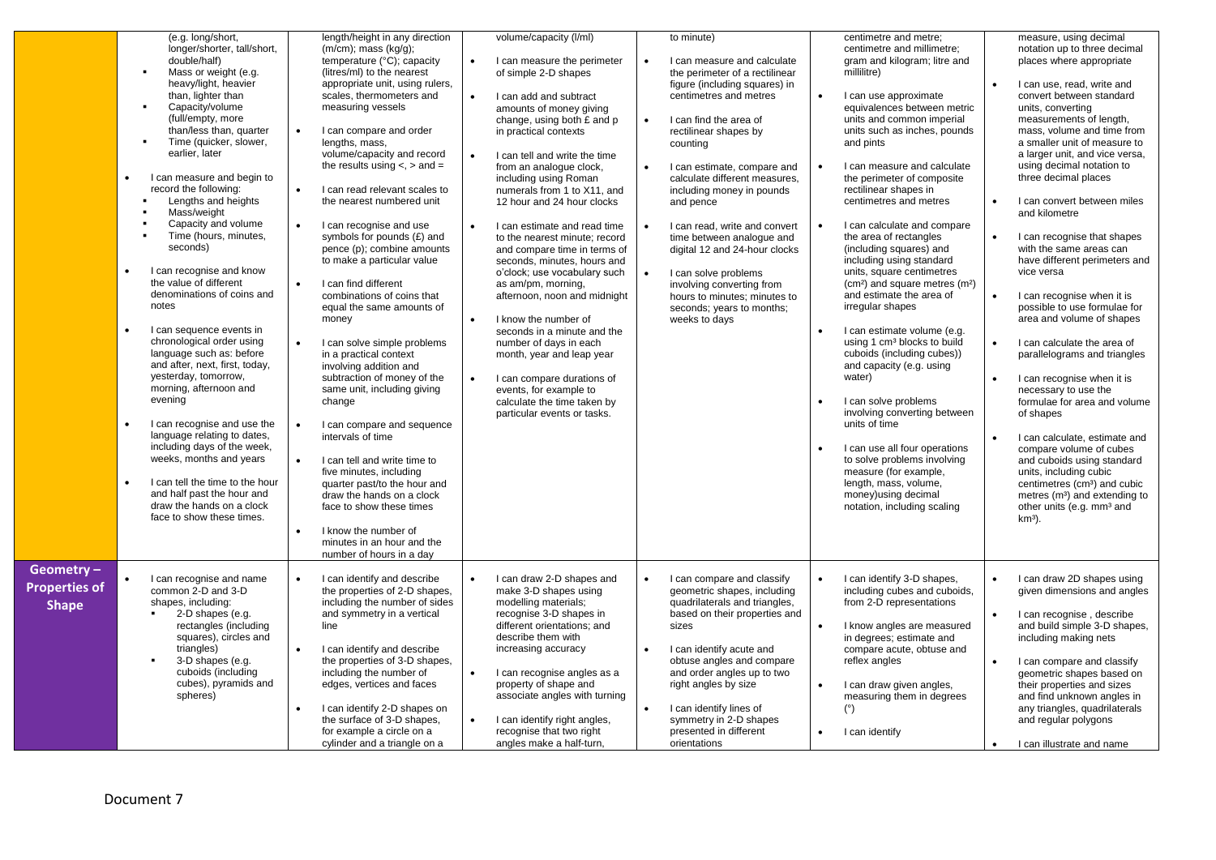|                                                   | $\bullet$<br>$\bullet$<br>$\bullet$ | (e.g. long/short,<br>longer/shorter, tall/short,<br>double/half)<br>Mass or weight (e.g.<br>$\blacksquare$<br>heavy/light, heavier<br>than, lighter than<br>Capacity/volume<br>٠<br>(full/empty, more<br>than/less than, quarter<br>Time (quicker, slower,<br>$\blacksquare$<br>earlier, later<br>I can measure and begin to<br>record the following:<br>Lengths and heights<br>Mass/weight<br>Capacity and volume<br>Time (hours, minutes,<br>٠<br>seconds)<br>I can recognise and know<br>the value of different<br>denominations of coins and<br>notes<br>I can sequence events in<br>chronological order using<br>language such as: before<br>and after, next, first, today,<br>yesterday, tomorrow,<br>morning, afternoon and<br>evening<br>I can recognise and use the<br>language relating to dates,<br>including days of the week,<br>weeks, months and years<br>I can tell the time to the hour<br>and half past the hour and<br>draw the hands on a clock<br>face to show these times. | $\bullet$<br>$\bullet$<br>$\bullet$<br>$\bullet$<br>$\bullet$<br>$\bullet$<br>$\bullet$<br>$\bullet$ | length/height in any direction<br>$(m/cm)$ ; mass $(kq/q)$ ;<br>temperature (°C); capacity<br>(litres/ml) to the nearest<br>appropriate unit, using rulers,<br>scales, thermometers and<br>measuring vessels<br>I can compare and order<br>lengths, mass,<br>volume/capacity and record<br>the results using $\lt$ , $>$ and $=$<br>I can read relevant scales to<br>the nearest numbered unit<br>I can recognise and use<br>symbols for pounds (£) and<br>pence (p); combine amounts<br>to make a particular value<br>I can find different<br>combinations of coins that<br>equal the same amounts of<br>money<br>I can solve simple problems<br>in a practical context<br>involving addition and<br>subtraction of money of the<br>same unit, including giving<br>change<br>I can compare and sequence<br>intervals of time<br>I can tell and write time to<br>five minutes, including<br>quarter past/to the hour and<br>draw the hands on a clock<br>face to show these times<br>I know the number of<br>minutes in an hour and the<br>number of hours in a day | $\bullet$ | volume/capacity (I/ml)<br>I can measure the perimeter<br>of simple 2-D shapes<br>I can add and subtract<br>amounts of money giving<br>change, using both £ and p<br>in practical contexts<br>I can tell and write the time<br>from an analogue clock,<br>including using Roman<br>numerals from 1 to X11, and<br>12 hour and 24 hour clocks<br>I can estimate and read time<br>to the nearest minute; record<br>and compare time in terms of<br>seconds, minutes, hours and<br>o'clock; use vocabulary such<br>as am/pm, morning,<br>afternoon, noon and midnight<br>I know the number of<br>seconds in a minute and the<br>number of days in each<br>month, year and leap year<br>I can compare durations of<br>events, for example to<br>calculate the time taken by<br>particular events or tasks. | $\bullet$ | to minute)<br>I can measure and calculate<br>the perimeter of a rectilinear<br>figure (including squares) in<br>centimetres and metres<br>I can find the area of<br>rectilinear shapes by<br>counting<br>I can estimate, compare and<br>calculate different measures,<br>including money in pounds<br>and pence<br>I can read, write and convert<br>time between analogue and<br>digital 12 and 24-hour clocks<br>I can solve problems<br>involving converting from<br>hours to minutes; minutes to<br>seconds; years to months;<br>weeks to days | $\bullet$<br>$\bullet$<br>$\bullet$ | centimetre and metre;<br>centimetre and millimetre;<br>gram and kilogram; litre and<br>millilitre)<br>I can use approximate<br>equivalences between metric<br>units and common imperial<br>units such as inches, pounds<br>and pints<br>I can measure and calculate<br>the perimeter of composite<br>rectilinear shapes in<br>centimetres and metres<br>I can calculate and compare<br>the area of rectangles<br>(including squares) and<br>including using standard<br>units, square centimetres<br>(cm <sup>2</sup> ) and square metres (m <sup>2</sup> )<br>and estimate the area of<br>irregular shapes<br>I can estimate volume (e.g.<br>using 1 cm <sup>3</sup> blocks to build<br>cuboids (including cubes))<br>and capacity (e.g. using<br>water)<br>I can solve problems<br>involving converting between<br>units of time<br>I can use all four operations<br>to solve problems involving<br>measure (for example,<br>length, mass, volume,<br>money) using decimal<br>notation, including scaling | $\bullet$<br>$\bullet$<br>$\bullet$<br>$\bullet$<br>$\bullet$<br>$\bullet$<br>$\bullet$ | measure, using decimal<br>notation up to three decimal<br>places where appropriate<br>I can use, read, write and<br>convert between standard<br>units, converting<br>measurements of length,<br>mass, volume and time from<br>a smaller unit of measure to<br>a larger unit, and vice versa,<br>using decimal notation to<br>three decimal places<br>I can convert between miles<br>and kilometre<br>I can recognise that shapes<br>with the same areas can<br>have different perimeters and<br>vice versa<br>I can recognise when it is<br>possible to use formulae for<br>area and volume of shapes<br>I can calculate the area of<br>parallelograms and triangles<br>I can recognise when it is<br>necessary to use the<br>formulae for area and volume<br>of shapes<br>I can calculate, estimate and<br>compare volume of cubes<br>and cuboids using standard<br>units, including cubic<br>centimetres (cm <sup>3</sup> ) and cubic<br>metres (m <sup>3</sup> ) and extending to<br>other units (e.g. mm <sup>3</sup> and<br>$km3$ ). |
|---------------------------------------------------|-------------------------------------|--------------------------------------------------------------------------------------------------------------------------------------------------------------------------------------------------------------------------------------------------------------------------------------------------------------------------------------------------------------------------------------------------------------------------------------------------------------------------------------------------------------------------------------------------------------------------------------------------------------------------------------------------------------------------------------------------------------------------------------------------------------------------------------------------------------------------------------------------------------------------------------------------------------------------------------------------------------------------------------------------|------------------------------------------------------------------------------------------------------|---------------------------------------------------------------------------------------------------------------------------------------------------------------------------------------------------------------------------------------------------------------------------------------------------------------------------------------------------------------------------------------------------------------------------------------------------------------------------------------------------------------------------------------------------------------------------------------------------------------------------------------------------------------------------------------------------------------------------------------------------------------------------------------------------------------------------------------------------------------------------------------------------------------------------------------------------------------------------------------------------------------------------------------------------------------------|-----------|-------------------------------------------------------------------------------------------------------------------------------------------------------------------------------------------------------------------------------------------------------------------------------------------------------------------------------------------------------------------------------------------------------------------------------------------------------------------------------------------------------------------------------------------------------------------------------------------------------------------------------------------------------------------------------------------------------------------------------------------------------------------------------------------------------|-----------|---------------------------------------------------------------------------------------------------------------------------------------------------------------------------------------------------------------------------------------------------------------------------------------------------------------------------------------------------------------------------------------------------------------------------------------------------------------------------------------------------------------------------------------------------|-------------------------------------|-------------------------------------------------------------------------------------------------------------------------------------------------------------------------------------------------------------------------------------------------------------------------------------------------------------------------------------------------------------------------------------------------------------------------------------------------------------------------------------------------------------------------------------------------------------------------------------------------------------------------------------------------------------------------------------------------------------------------------------------------------------------------------------------------------------------------------------------------------------------------------------------------------------------------------------------------------------------------------------------------------------|-----------------------------------------------------------------------------------------|-------------------------------------------------------------------------------------------------------------------------------------------------------------------------------------------------------------------------------------------------------------------------------------------------------------------------------------------------------------------------------------------------------------------------------------------------------------------------------------------------------------------------------------------------------------------------------------------------------------------------------------------------------------------------------------------------------------------------------------------------------------------------------------------------------------------------------------------------------------------------------------------------------------------------------------------------------------------------------------------------------------------------------------------|
| Geometry-<br><b>Properties of</b><br><b>Shape</b> |                                     | I can recognise and name<br>common 2-D and 3-D<br>shapes, including:<br>2-D shapes (e.g.<br>rectangles (including<br>squares), circles and<br>triangles)<br>3-D shapes (e.g.<br>$\blacksquare$<br>cuboids (including<br>cubes), pyramids and<br>spheres)                                                                                                                                                                                                                                                                                                                                                                                                                                                                                                                                                                                                                                                                                                                                         | $\bullet$<br>$\bullet$<br>$\bullet$                                                                  | I can identify and describe<br>the properties of 2-D shapes,<br>including the number of sides<br>and symmetry in a vertical<br>line<br>I can identify and describe<br>the properties of 3-D shapes,<br>including the number of<br>edges, vertices and faces<br>I can identify 2-D shapes on<br>the surface of 3-D shapes,<br>for example a circle on a<br>cylinder and a triangle on a                                                                                                                                                                                                                                                                                                                                                                                                                                                                                                                                                                                                                                                                              |           | I can draw 2-D shapes and<br>make 3-D shapes using<br>modelling materials;<br>recognise 3-D shapes in<br>different orientations; and<br>describe them with<br>increasing accuracy<br>I can recognise angles as a<br>property of shape and<br>associate angles with turning<br>I can identify right angles,<br>recognise that two right<br>angles make a half-turn.                                                                                                                                                                                                                                                                                                                                                                                                                                    |           | I can compare and classify<br>geometric shapes, including<br>quadrilaterals and triangles,<br>based on their properties and<br>sizes<br>I can identify acute and<br>obtuse angles and compare<br>and order angles up to two<br>right angles by size<br>I can identify lines of<br>symmetry in 2-D shapes<br>presented in different<br>orientations                                                                                                                                                                                                | $\bullet$                           | I can identify 3-D shapes,<br>including cubes and cuboids,<br>from 2-D representations<br>I know angles are measured<br>in degrees; estimate and<br>compare acute, obtuse and<br>reflex angles<br>I can draw given angles,<br>measuring them in degrees<br>$(^\circ)$<br>I can identify                                                                                                                                                                                                                                                                                                                                                                                                                                                                                                                                                                                                                                                                                                                     | $\bullet$<br>$\bullet$                                                                  | I can draw 2D shapes using<br>given dimensions and angles<br>I can recognise, describe<br>and build simple 3-D shapes,<br>including making nets<br>I can compare and classify<br>geometric shapes based on<br>their properties and sizes<br>and find unknown angles in<br>any triangles, quadrilaterals<br>and regular polygons<br>I can illustrate and name                                                                                                                                                                                                                                                                                                                                                                                                                                                                                                                                                                                                                                                                              |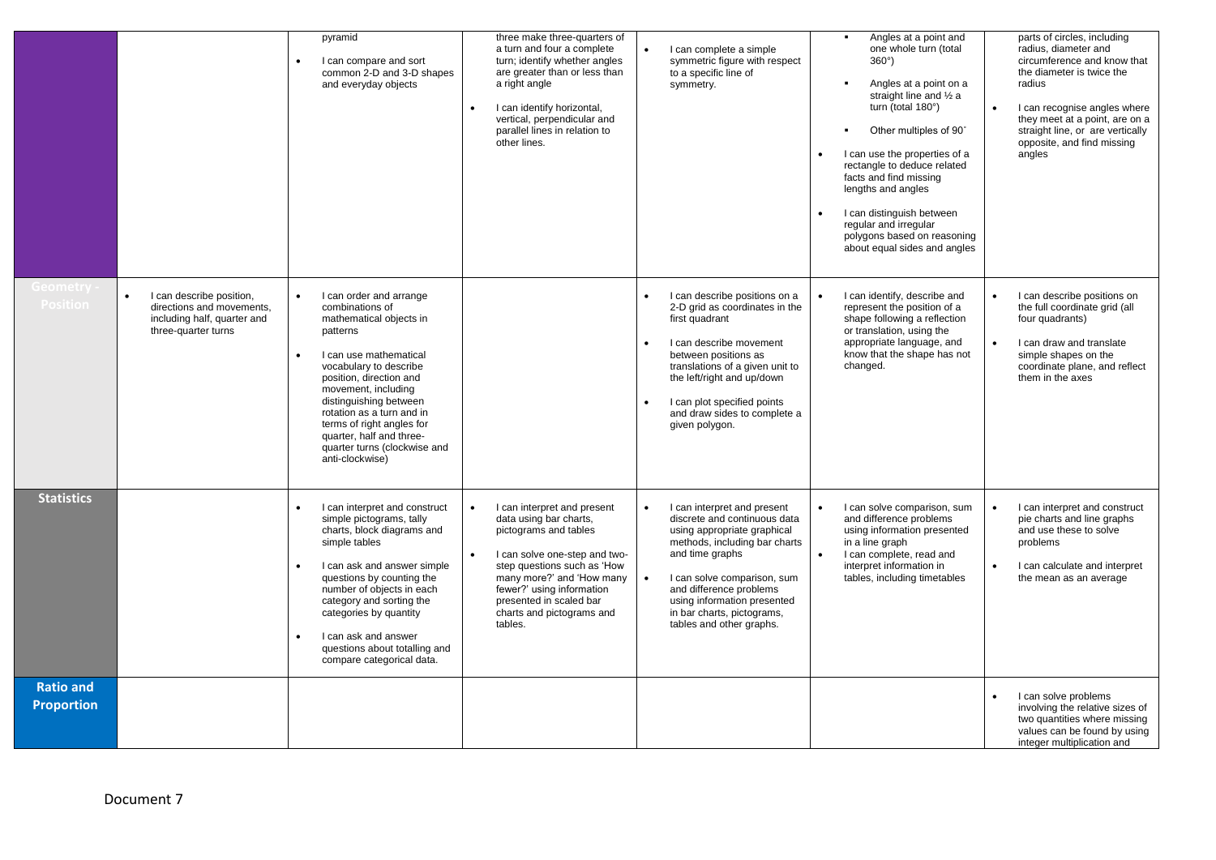|                                       |                                                                                                             | pyramid<br>I can compare and sort<br>common 2-D and 3-D shapes<br>and everyday objects                                                                                                                                                                                                                                                                                               | three make three-quarters of<br>a turn and four a complete<br>turn; identify whether angles<br>are greater than or less than<br>a right angle<br>I can identify horizontal,<br>$\bullet$<br>vertical, perpendicular and<br>parallel lines in relation to<br>other lines.                 | I can complete a simple<br>symmetric figure with respect<br>to a specific line of<br>symmetry.                                                                                                                                                                                                                              | Angles at a point and<br>one whole turn (total<br>$360^\circ$ )<br>Angles at a point on a<br>straight line and 1/2 a<br>turn (total 180°)<br>Other multiples of 90°<br>I can use the properties of a<br>rectangle to deduce related<br>facts and find missing<br>lengths and angles<br>I can distinguish between<br>regular and irregular<br>polygons based on reasoning<br>about equal sides and angles | parts of circles, including<br>radius, diameter and<br>circumference and know that<br>the diameter is twice the<br>radius<br>I can recognise angles where<br>$\bullet$<br>they meet at a point, are on a<br>straight line, or are vertically<br>opposite, and find missing<br>angles |
|---------------------------------------|-------------------------------------------------------------------------------------------------------------|--------------------------------------------------------------------------------------------------------------------------------------------------------------------------------------------------------------------------------------------------------------------------------------------------------------------------------------------------------------------------------------|------------------------------------------------------------------------------------------------------------------------------------------------------------------------------------------------------------------------------------------------------------------------------------------|-----------------------------------------------------------------------------------------------------------------------------------------------------------------------------------------------------------------------------------------------------------------------------------------------------------------------------|----------------------------------------------------------------------------------------------------------------------------------------------------------------------------------------------------------------------------------------------------------------------------------------------------------------------------------------------------------------------------------------------------------|--------------------------------------------------------------------------------------------------------------------------------------------------------------------------------------------------------------------------------------------------------------------------------------|
| Geometry<br><b>Position</b>           | I can describe position,<br>directions and movements,<br>including half, quarter and<br>three-quarter turns | $\bullet$<br>I can order and arrange<br>combinations of<br>mathematical objects in<br>patterns<br>I can use mathematical<br>$\bullet$<br>vocabulary to describe<br>position, direction and<br>movement, including<br>distinguishing between<br>rotation as a turn and in<br>terms of right angles for<br>quarter, half and three-<br>quarter turns (clockwise and<br>anti-clockwise) |                                                                                                                                                                                                                                                                                          | I can describe positions on a<br>2-D grid as coordinates in the<br>first quadrant<br>I can describe movement<br>$\bullet$<br>between positions as<br>translations of a given unit to<br>the left/right and up/down<br>I can plot specified points<br>and draw sides to complete a<br>given polygon.                         | I can identify, describe and<br>represent the position of a<br>shape following a reflection<br>or translation, using the<br>appropriate language, and<br>know that the shape has not<br>changed.                                                                                                                                                                                                         | I can describe positions on<br>$\bullet$<br>the full coordinate grid (all<br>four quadrants)<br>I can draw and translate<br>$\bullet$<br>simple shapes on the<br>coordinate plane, and reflect<br>them in the axes                                                                   |
| <b>Statistics</b>                     |                                                                                                             | I can interpret and construct<br>$\bullet$<br>simple pictograms, tally<br>charts, block diagrams and<br>simple tables<br>$\bullet$<br>I can ask and answer simple<br>questions by counting the<br>number of objects in each<br>category and sorting the<br>categories by quantity<br>I can ask and answer<br>$\bullet$<br>questions about totalling and<br>compare categorical data. | I can interpret and present<br>data using bar charts,<br>pictograms and tables<br>I can solve one-step and two-<br>$\bullet$<br>step questions such as 'How<br>many more?' and 'How many<br>fewer?' using information<br>presented in scaled bar<br>charts and pictograms and<br>tables. | I can interpret and present<br>$\bullet$<br>discrete and continuous data<br>using appropriate graphical<br>methods, including bar charts<br>and time graphs<br>I can solve comparison, sum<br>$\bullet$<br>and difference problems<br>using information presented<br>in bar charts, pictograms,<br>tables and other graphs. | I can solve comparison, sum<br>and difference problems<br>using information presented<br>in a line graph<br>I can complete, read and<br>$\bullet$<br>interpret information in<br>tables, including timetables                                                                                                                                                                                            | I can interpret and construct<br>$\bullet$<br>pie charts and line graphs<br>and use these to solve<br>problems<br>I can calculate and interpret<br>$\bullet$<br>the mean as an average                                                                                               |
| <b>Ratio and</b><br><b>Proportion</b> |                                                                                                             |                                                                                                                                                                                                                                                                                                                                                                                      |                                                                                                                                                                                                                                                                                          |                                                                                                                                                                                                                                                                                                                             |                                                                                                                                                                                                                                                                                                                                                                                                          | I can solve problems<br>involving the relative sizes of<br>two quantities where missing<br>values can be found by using<br>integer multiplication and                                                                                                                                |